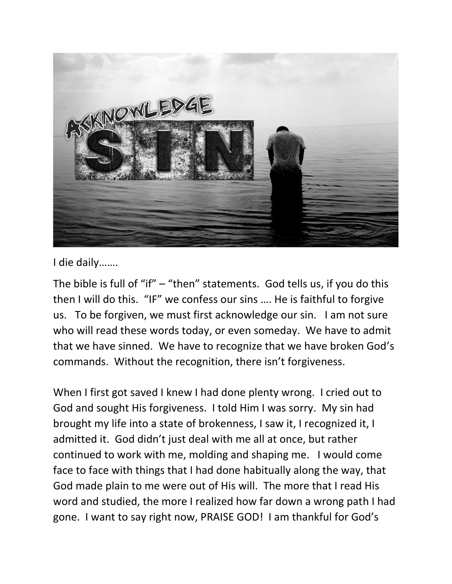

I die daily…….

The bible is full of "if" – "then" statements. God tells us, if you do this then I will do this. "IF" we confess our sins …. He is faithful to forgive us. To be forgiven, we must first acknowledge our sin. I am not sure who will read these words today, or even someday. We have to admit that we have sinned. We have to recognize that we have broken God's commands. Without the recognition, there isn't forgiveness.

When I first got saved I knew I had done plenty wrong. I cried out to God and sought His forgiveness. I told Him I was sorry. My sin had brought my life into a state of brokenness, I saw it, I recognized it, I admitted it. God didn't just deal with me all at once, but rather continued to work with me, molding and shaping me. I would come face to face with things that I had done habitually along the way, that God made plain to me were out of His will. The more that I read His word and studied, the more I realized how far down a wrong path I had gone. I want to say right now, PRAISE GOD! I am thankful for God's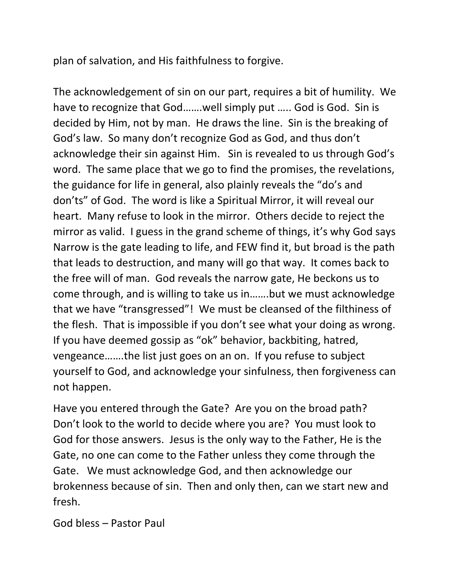plan of salvation, and His faithfulness to forgive.

The acknowledgement of sin on our part, requires a bit of humility. We have to recognize that God…….well simply put ….. God is God. Sin is decided by Him, not by man. He draws the line. Sin is the breaking of God's law. So many don't recognize God as God, and thus don't acknowledge their sin against Him. Sin is revealed to us through God's word. The same place that we go to find the promises, the revelations, the guidance for life in general, also plainly reveals the "do's and don'ts" of God. The word is like a Spiritual Mirror, it will reveal our heart. Many refuse to look in the mirror. Others decide to reject the mirror as valid. I guess in the grand scheme of things, it's why God says Narrow is the gate leading to life, and FEW find it, but broad is the path that leads to destruction, and many will go that way. It comes back to the free will of man. God reveals the narrow gate, He beckons us to come through, and is willing to take us in…….but we must acknowledge that we have "transgressed"! We must be cleansed of the filthiness of the flesh. That is impossible if you don't see what your doing as wrong. If you have deemed gossip as "ok" behavior, backbiting, hatred, vengeance…….the list just goes on an on. If you refuse to subject yourself to God, and acknowledge your sinfulness, then forgiveness can not happen.

Have you entered through the Gate? Are you on the broad path? Don't look to the world to decide where you are? You must look to God for those answers. Jesus is the only way to the Father, He is the Gate, no one can come to the Father unless they come through the Gate. We must acknowledge God, and then acknowledge our brokenness because of sin. Then and only then, can we start new and fresh.

God bless – Pastor Paul